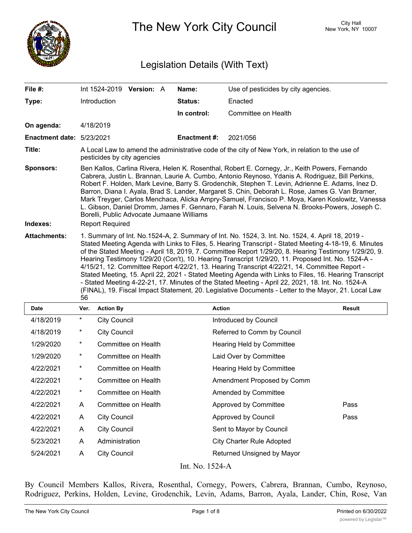

The New York City Council New York, NY 10007

# Legislation Details (With Text)

| File $#$ :                       | Int 1524-2019 Version: A                                                                                                                                                                                                                                                                                                                                                                                                                                                                                                                                                                                                                                                                                                                                                                                                                              | Name:               | Use of pesticides by city agencies. |  |  |
|----------------------------------|-------------------------------------------------------------------------------------------------------------------------------------------------------------------------------------------------------------------------------------------------------------------------------------------------------------------------------------------------------------------------------------------------------------------------------------------------------------------------------------------------------------------------------------------------------------------------------------------------------------------------------------------------------------------------------------------------------------------------------------------------------------------------------------------------------------------------------------------------------|---------------------|-------------------------------------|--|--|
| Type:                            | Introduction                                                                                                                                                                                                                                                                                                                                                                                                                                                                                                                                                                                                                                                                                                                                                                                                                                          | Status:             | Enacted                             |  |  |
|                                  |                                                                                                                                                                                                                                                                                                                                                                                                                                                                                                                                                                                                                                                                                                                                                                                                                                                       | In control:         | Committee on Health                 |  |  |
| On agenda:                       | 4/18/2019                                                                                                                                                                                                                                                                                                                                                                                                                                                                                                                                                                                                                                                                                                                                                                                                                                             |                     |                                     |  |  |
| <b>Enactment date: 5/23/2021</b> |                                                                                                                                                                                                                                                                                                                                                                                                                                                                                                                                                                                                                                                                                                                                                                                                                                                       | <b>Enactment #:</b> | 2021/056                            |  |  |
| Title:                           | A Local Law to amend the administrative code of the city of New York, in relation to the use of<br>pesticides by city agencies                                                                                                                                                                                                                                                                                                                                                                                                                                                                                                                                                                                                                                                                                                                        |                     |                                     |  |  |
| <b>Sponsors:</b><br>Indexes:     | Ben Kallos, Carlina Rivera, Helen K. Rosenthal, Robert E. Cornegy, Jr., Keith Powers, Fernando<br>Cabrera, Justin L. Brannan, Laurie A. Cumbo, Antonio Reynoso, Ydanis A. Rodriguez, Bill Perkins,<br>Robert F. Holden, Mark Levine, Barry S. Grodenchik, Stephen T. Levin, Adrienne E. Adams, Inez D.<br>Barron, Diana I. Ayala, Brad S. Lander, Margaret S. Chin, Deborah L. Rose, James G. Van Bramer,<br>Mark Treyger, Carlos Menchaca, Alicka Ampry-Samuel, Francisco P. Moya, Karen Koslowitz, Vanessa<br>L. Gibson, Daniel Dromm, James F. Gennaro, Farah N. Louis, Selvena N. Brooks-Powers, Joseph C.<br>Borelli, Public Advocate Jumaane Williams<br><b>Report Required</b>                                                                                                                                                                 |                     |                                     |  |  |
| <b>Attachments:</b>              | 1. Summary of Int. No.1524-A, 2. Summary of Int. No. 1524, 3. Int. No. 1524, 4. April 18, 2019 -<br>Stated Meeting Agenda with Links to Files, 5. Hearing Transcript - Stated Meeting 4-18-19, 6. Minutes<br>of the Stated Meeting - April 18, 2019, 7. Committee Report 1/29/20, 8. Hearing Testimony 1/29/20, 9.<br>Hearing Testimony 1/29/20 (Con't), 10. Hearing Transcript 1/29/20, 11. Proposed Int. No. 1524-A -<br>4/15/21, 12. Committee Report 4/22/21, 13. Hearing Transcript 4/22/21, 14. Committee Report -<br>Stated Meeting, 15. April 22, 2021 - Stated Meeting Agenda with Links to Files, 16. Hearing Transcript<br>- Stated Meeting 4-22-21, 17. Minutes of the Stated Meeting - April 22, 2021, 18. Int. No. 1524-A<br>(FINAL), 19. Fiscal Impact Statement, 20. Legislative Documents - Letter to the Mayor, 21. Local Law<br>56 |                     |                                     |  |  |
|                                  |                                                                                                                                                                                                                                                                                                                                                                                                                                                                                                                                                                                                                                                                                                                                                                                                                                                       |                     |                                     |  |  |

| <b>Date</b> | Ver.    | <b>Action By</b>    | <b>Action</b>                    | Result |
|-------------|---------|---------------------|----------------------------------|--------|
| 4/18/2019   | $\ast$  | <b>City Council</b> | Introduced by Council            |        |
| 4/18/2019   | $\ast$  | <b>City Council</b> | Referred to Comm by Council      |        |
| 1/29/2020   | $^\ast$ | Committee on Health | Hearing Held by Committee        |        |
| 1/29/2020   | $^\ast$ | Committee on Health | Laid Over by Committee           |        |
| 4/22/2021   | $^\ast$ | Committee on Health | Hearing Held by Committee        |        |
| 4/22/2021   | $\ast$  | Committee on Health | Amendment Proposed by Comm       |        |
| 4/22/2021   | $\star$ | Committee on Health | Amended by Committee             |        |
| 4/22/2021   | A       | Committee on Health | Approved by Committee            | Pass   |
| 4/22/2021   | A       | <b>City Council</b> | Approved by Council              | Pass   |
| 4/22/2021   | A       | <b>City Council</b> | Sent to Mayor by Council         |        |
| 5/23/2021   | A       | Administration      | <b>City Charter Rule Adopted</b> |        |
| 5/24/2021   | A       | <b>City Council</b> | Returned Unsigned by Mayor       |        |
|             |         |                     |                                  |        |

Int. No. 1524-A

By Council Members Kallos, Rivera, Rosenthal, Cornegy, Powers, Cabrera, Brannan, Cumbo, Reynoso, Rodriguez, Perkins, Holden, Levine, Grodenchik, Levin, Adams, Barron, Ayala, Lander, Chin, Rose, Van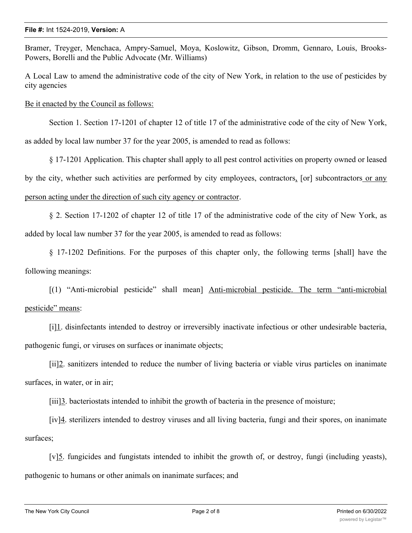Bramer, Treyger, Menchaca, Ampry-Samuel, Moya, Koslowitz, Gibson, Dromm, Gennaro, Louis, Brooks-Powers, Borelli and the Public Advocate (Mr. Williams)

A Local Law to amend the administrative code of the city of New York, in relation to the use of pesticides by city agencies

Be it enacted by the Council as follows:

Section 1. Section 17-1201 of chapter 12 of title 17 of the administrative code of the city of New York,

as added by local law number 37 for the year 2005, is amended to read as follows:

§ 17-1201 Application. This chapter shall apply to all pest control activities on property owned or leased

by the city, whether such activities are performed by city employees, contractors, [or] subcontractors or any

# person acting under the direction of such city agency or contractor.

§ 2. Section 17-1202 of chapter 12 of title 17 of the administrative code of the city of New York, as added by local law number 37 for the year 2005, is amended to read as follows:

§ 17-1202 Definitions. For the purposes of this chapter only, the following terms [shall] have the following meanings:

[(1) "Anti-microbial pesticide" shall mean] Anti-microbial pesticide. The term "anti-microbial pesticide" means:

[i]1. disinfectants intended to destroy or irreversibly inactivate infectious or other undesirable bacteria, pathogenic fungi, or viruses on surfaces or inanimate objects;

[ii]2. sanitizers intended to reduce the number of living bacteria or viable virus particles on inanimate surfaces, in water, or in air;

[iii]3. bacteriostats intended to inhibit the growth of bacteria in the presence of moisture;

[iv]4. sterilizers intended to destroy viruses and all living bacteria, fungi and their spores, on inanimate surfaces;

[v]5. fungicides and fungistats intended to inhibit the growth of, or destroy, fungi (including yeasts), pathogenic to humans or other animals on inanimate surfaces; and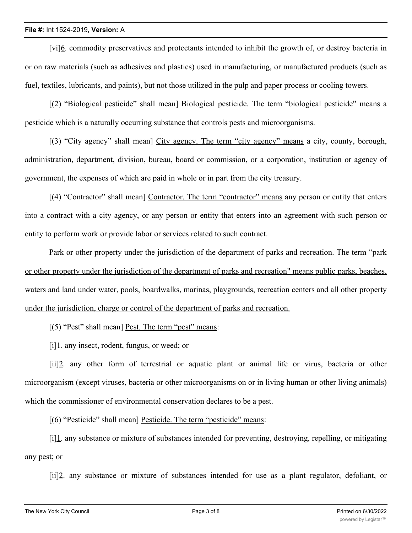[vi]6. commodity preservatives and protectants intended to inhibit the growth of, or destroy bacteria in or on raw materials (such as adhesives and plastics) used in manufacturing, or manufactured products (such as fuel, textiles, lubricants, and paints), but not those utilized in the pulp and paper process or cooling towers.

[(2) "Biological pesticide" shall mean] Biological pesticide. The term "biological pesticide" means a pesticide which is a naturally occurring substance that controls pests and microorganisms.

[(3) "City agency" shall mean] City agency. The term "city agency" means a city, county, borough, administration, department, division, bureau, board or commission, or a corporation, institution or agency of government, the expenses of which are paid in whole or in part from the city treasury.

[(4) "Contractor" shall mean] Contractor. The term "contractor" means any person or entity that enters into a contract with a city agency, or any person or entity that enters into an agreement with such person or entity to perform work or provide labor or services related to such contract.

Park or other property under the jurisdiction of the department of parks and recreation. The term "park or other property under the jurisdiction of the department of parks and recreation" means public parks, beaches, waters and land under water, pools, boardwalks, marinas, playgrounds, recreation centers and all other property under the jurisdiction, charge or control of the department of parks and recreation.

[(5) "Pest" shall mean] Pest. The term "pest" means:

[i]1. any insect, rodent, fungus, or weed; or

[ii]2. any other form of terrestrial or aquatic plant or animal life or virus, bacteria or other microorganism (except viruses, bacteria or other microorganisms on or in living human or other living animals) which the commissioner of environmental conservation declares to be a pest.

[(6) "Pesticide" shall mean] Pesticide. The term "pesticide" means:

[i]1. any substance or mixture of substances intended for preventing, destroying, repelling, or mitigating any pest; or

[ii]2. any substance or mixture of substances intended for use as a plant regulator, defoliant, or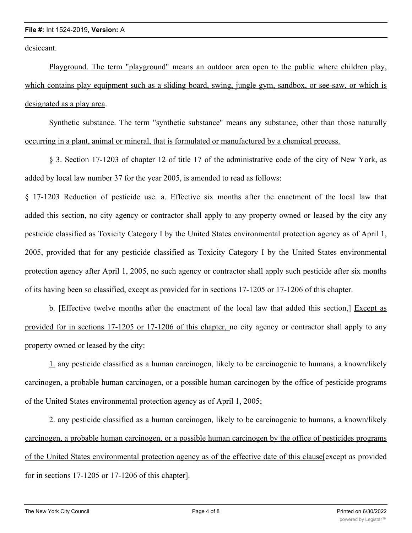desiccant.

Playground. The term "playground" means an outdoor area open to the public where children play, which contains play equipment such as a sliding board, swing, jungle gym, sandbox, or see-saw, or which is designated as a play area.

Synthetic substance. The term "synthetic substance" means any substance, other than those naturally occurring in a plant, animal or mineral, that is formulated or manufactured by a chemical process.

§ 3. Section 17-1203 of chapter 12 of title 17 of the administrative code of the city of New York, as added by local law number 37 for the year 2005, is amended to read as follows:

§ 17-1203 Reduction of pesticide use. a. Effective six months after the enactment of the local law that added this section, no city agency or contractor shall apply to any property owned or leased by the city any pesticide classified as Toxicity Category I by the United States environmental protection agency as of April 1, 2005, provided that for any pesticide classified as Toxicity Category I by the United States environmental protection agency after April 1, 2005, no such agency or contractor shall apply such pesticide after six months of its having been so classified, except as provided for in sections 17-1205 or 17-1206 of this chapter.

b. [Effective twelve months after the enactment of the local law that added this section,] Except as provided for in sections 17-1205 or 17-1206 of this chapter, no city agency or contractor shall apply to any property owned or leased by the city:

1. any pesticide classified as a human carcinogen, likely to be carcinogenic to humans, a known/likely carcinogen, a probable human carcinogen, or a possible human carcinogen by the office of pesticide programs of the United States environmental protection agency as of April 1, 2005;

2. any pesticide classified as a human carcinogen, likely to be carcinogenic to humans, a known/likely carcinogen, a probable human carcinogen, or a possible human carcinogen by the office of pesticides programs of the United States environmental protection agency as of the effective date of this clause[except as provided for in sections 17-1205 or 17-1206 of this chapter].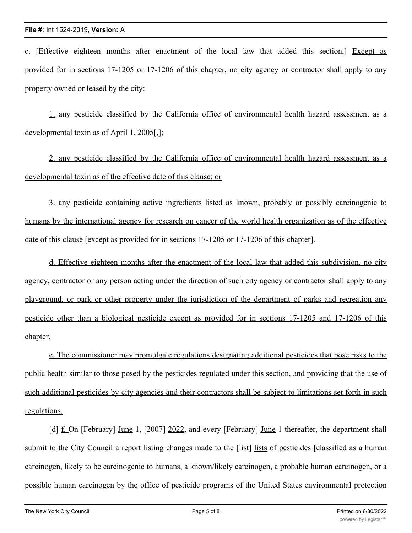c. [Effective eighteen months after enactment of the local law that added this section,] Except as provided for in sections 17-1205 or 17-1206 of this chapter, no city agency or contractor shall apply to any property owned or leased by the city:

1. any pesticide classified by the California office of environmental health hazard assessment as a developmental toxin as of April 1, 2005[,];

2. any pesticide classified by the California office of environmental health hazard assessment as a developmental toxin as of the effective date of this clause; or

3. any pesticide containing active ingredients listed as known, probably or possibly carcinogenic to humans by the international agency for research on cancer of the world health organization as of the effective date of this clause [except as provided for in sections 17-1205 or 17-1206 of this chapter].

d. Effective eighteen months after the enactment of the local law that added this subdivision, no city agency, contractor or any person acting under the direction of such city agency or contractor shall apply to any playground, or park or other property under the jurisdiction of the department of parks and recreation any pesticide other than a biological pesticide except as provided for in sections 17-1205 and 17-1206 of this chapter.

e. The commissioner may promulgate regulations designating additional pesticides that pose risks to the public health similar to those posed by the pesticides regulated under this section, and providing that the use of such additional pesticides by city agencies and their contractors shall be subject to limitations set forth in such regulations.

[d] f. On [February] June 1, [2007] 2022, and every [February] June 1 thereafter, the department shall submit to the City Council a report listing changes made to the [list] lists of pesticides [classified as a human carcinogen, likely to be carcinogenic to humans, a known/likely carcinogen, a probable human carcinogen, or a possible human carcinogen by the office of pesticide programs of the United States environmental protection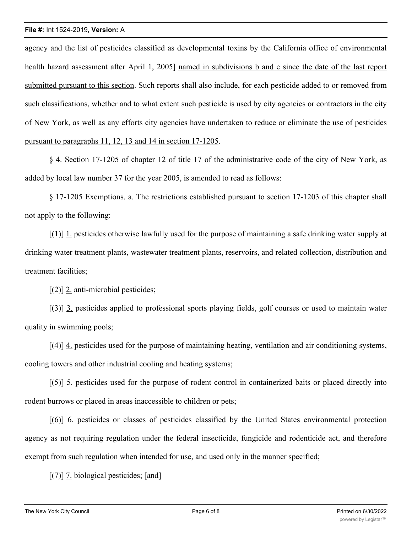agency and the list of pesticides classified as developmental toxins by the California office of environmental health hazard assessment after April 1, 2005] named in subdivisions b and c since the date of the last report submitted pursuant to this section. Such reports shall also include, for each pesticide added to or removed from such classifications, whether and to what extent such pesticide is used by city agencies or contractors in the city of New York, as well as any efforts city agencies have undertaken to reduce or eliminate the use of pesticides pursuant to paragraphs 11, 12, 13 and 14 in section 17-1205.

§ 4. Section 17-1205 of chapter 12 of title 17 of the administrative code of the city of New York, as added by local law number 37 for the year 2005, is amended to read as follows:

§ 17-1205 Exemptions. a. The restrictions established pursuant to section 17-1203 of this chapter shall not apply to the following:

 $[(1)]$  1. pesticides otherwise lawfully used for the purpose of maintaining a safe drinking water supply at drinking water treatment plants, wastewater treatment plants, reservoirs, and related collection, distribution and treatment facilities;

[(2)] 2. anti-microbial pesticides;

[(3)] 3. pesticides applied to professional sports playing fields, golf courses or used to maintain water quality in swimming pools;

[(4)] 4. pesticides used for the purpose of maintaining heating, ventilation and air conditioning systems, cooling towers and other industrial cooling and heating systems;

 $[(5)]$  5. pesticides used for the purpose of rodent control in containerized baits or placed directly into rodent burrows or placed in areas inaccessible to children or pets;

[(6)] 6. pesticides or classes of pesticides classified by the United States environmental protection agency as not requiring regulation under the federal insecticide, fungicide and rodenticide act, and therefore exempt from such regulation when intended for use, and used only in the manner specified;

[(7)] <u>7</u>. biological pesticides; [and]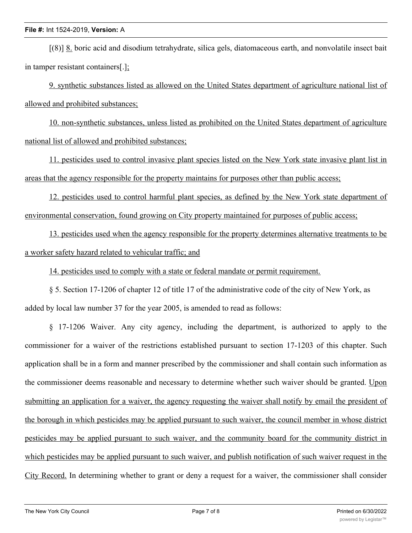[(8)] 8. boric acid and disodium tetrahydrate, silica gels, diatomaceous earth, and nonvolatile insect bait in tamper resistant containers[.];

9. synthetic substances listed as allowed on the United States department of agriculture national list of allowed and prohibited substances;

10. non-synthetic substances, unless listed as prohibited on the United States department of agriculture national list of allowed and prohibited substances;

11. pesticides used to control invasive plant species listed on the New York state invasive plant list in areas that the agency responsible for the property maintains for purposes other than public access;

12. pesticides used to control harmful plant species, as defined by the New York state department of environmental conservation, found growing on City property maintained for purposes of public access;

13. pesticides used when the agency responsible for the property determines alternative treatments to be a worker safety hazard related to vehicular traffic; and

14. pesticides used to comply with a state or federal mandate or permit requirement.

§ 5. Section 17-1206 of chapter 12 of title 17 of the administrative code of the city of New York, as added by local law number 37 for the year 2005, is amended to read as follows:

§ 17-1206 Waiver. Any city agency, including the department, is authorized to apply to the commissioner for a waiver of the restrictions established pursuant to section 17-1203 of this chapter. Such application shall be in a form and manner prescribed by the commissioner and shall contain such information as the commissioner deems reasonable and necessary to determine whether such waiver should be granted. Upon submitting an application for a waiver, the agency requesting the waiver shall notify by email the president of the borough in which pesticides may be applied pursuant to such waiver, the council member in whose district pesticides may be applied pursuant to such waiver, and the community board for the community district in which pesticides may be applied pursuant to such waiver, and publish notification of such waiver request in the City Record. In determining whether to grant or deny a request for a waiver, the commissioner shall consider